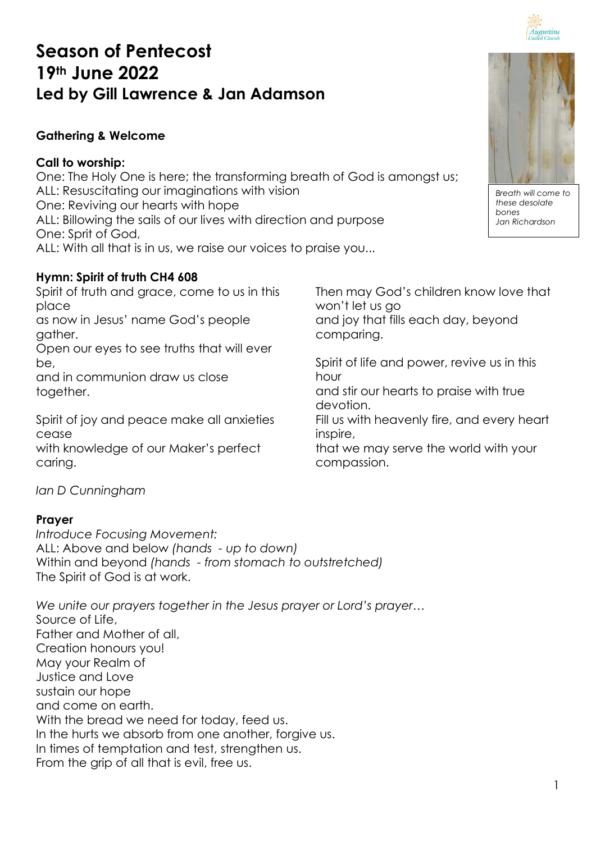# **Season of Pentecost 19th June 2022 Led by Gill Lawrence & Jan Adamson**

# **Gathering & Welcome**

## **Call to worship:**

One: The Holy One is here; the transforming breath of God is amongst us; ALL: Resuscitating our imaginations with vision One: Reviving our hearts with hope ALL: Billowing the sails of our lives with direction and purpose One: Sprit of God, ALL: With all that is in us, we raise our voices to praise you...

# **Hymn: Spirit of truth CH4 608**

Spirit of truth and grace, come to us in this place

as now in Jesus' name God's people gather.

Open our eyes to see truths that will ever be,

and in communion draw us close together.

Spirit of joy and peace make all anxieties cease

with knowledge of our Maker's perfect caring.

Then may God's children know love that won't let us go and joy that fills each day, beyond comparing.

Spirit of life and power, revive us in this hour

and stir our hearts to praise with true devotion.

Fill us with heavenly fire, and every heart inspire,

that we may serve the world with your compassion.

*Ian D Cunningham*

## **Prayer**

*Introduce Focusing Movement:* ALL: Above and below *(hands - up to down)* Within and beyond *(hands - from stomach to outstretched)* The Spirit of God is at work.

*We unite our prayers together in the Jesus prayer or Lord's prayer…* Source of Life, Father and Mother of all, Creation honours you! May your Realm of Justice and Love sustain our hope and come on earth. With the bread we need for today, feed us. In the hurts we absorb from one another, forgive us. In times of temptation and test, strengthen us. From the grip of all that is evil, free us.



Augustine

*Breath will come to these desolate bones Jan Richardson*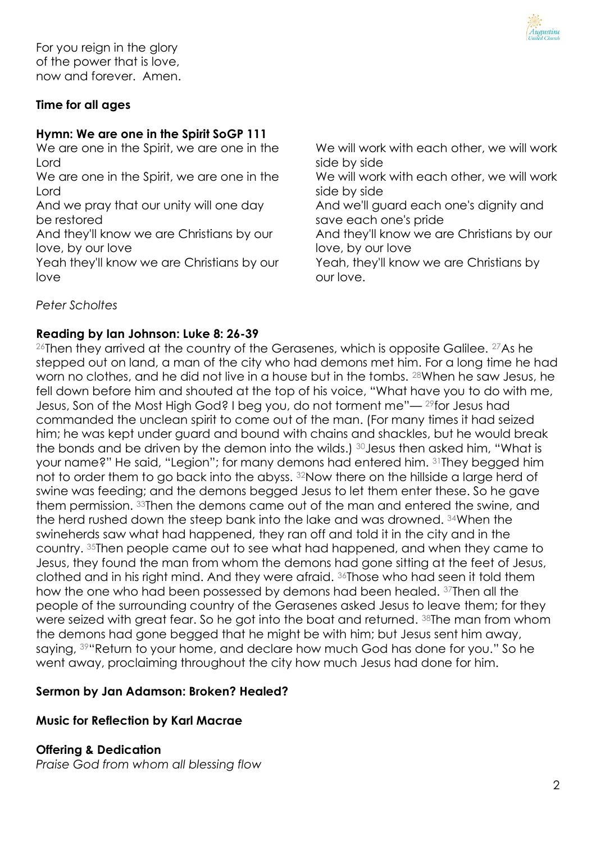

For you reign in the glory of the power that is love, now and forever. Amen.

## **Time for all ages**

## **Hymn: We are one in the Spirit SoGP 111**

We are one in the Spirit, we are one in the Lord

We are one in the Spirit, we are one in the Lord

And we pray that our unity will one day be restored

And they'll know we are Christians by our love, by our love

Yeah they'll know we are Christians by our love

We will work with each other, we will work side by side We will work with each other, we will work side by side And we'll guard each one's dignity and save each one's pride And they'll know we are Christians by our love, by our love Yeah, they'll know we are Christians by our love.

*Peter Scholtes*

#### **Reading by Ian Johnson: Luke 8: 26-39**

 $26$ Then they arrived at the country of the Gerasenes, which is opposite Galilee.  $27$ As he stepped out on land, a man of the city who had demons met him. For a long time he had worn no clothes, and he did not live in a house but in the tombs. <sup>28</sup>When he saw Jesus, he fell down before him and shouted at the top of his voice, "What have you to do with me, Jesus, Son of the Most High God? I beg you, do not torment me"— <sup>29</sup>for Jesus had commanded the unclean spirit to come out of the man. (For many times it had seized him; he was kept under guard and bound with chains and shackles, but he would break the bonds and be driven by the demon into the wilds.) <sup>30</sup>Jesus then asked him, "What is your name?" He said, "Legion"; for many demons had entered him. <sup>31</sup>They begged him not to order them to go back into the abyss. 32Now there on the hillside a large herd of swine was feeding; and the demons begged Jesus to let them enter these. So he gave them permission. <sup>33</sup>Then the demons came out of the man and entered the swine, and the herd rushed down the steep bank into the lake and was drowned. <sup>34</sup>When the swineherds saw what had happened, they ran off and told it in the city and in the country. <sup>35</sup>Then people came out to see what had happened, and when they came to Jesus, they found the man from whom the demons had gone sitting at the feet of Jesus, clothed and in his right mind. And they were afraid. <sup>36</sup>Those who had seen it told them how the one who had been possessed by demons had been healed. <sup>37</sup>Then all the people of the surrounding country of the Gerasenes asked Jesus to leave them; for they were seized with great fear. So he got into the boat and returned. 38The man from whom the demons had gone begged that he might be with him; but Jesus sent him away, saying, <sup>39</sup> "Return to your home, and declare how much God has done for you." So he went away, proclaiming throughout the city how much Jesus had done for him.

#### **Sermon by Jan Adamson: Broken? Healed?**

#### **Music for Reflection by Karl Macrae**

**Offering & Dedication**

*Praise God from whom all blessing flow*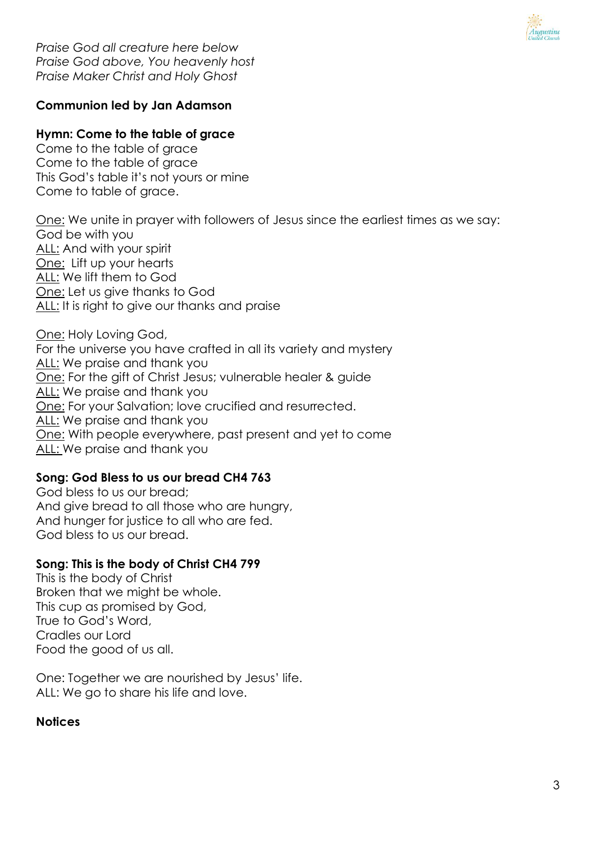

*Praise God all creature here below Praise God above, You heavenly host Praise Maker Christ and Holy Ghost*

## **Communion led by Jan Adamson**

## **Hymn: Come to the table of grace**

Come to the table of grace Come to the table of grace This God's table it's not yours or mine Come to table of grace.

One: We unite in prayer with followers of Jesus since the earliest times as we say: God be with you ALL: And with your spirit One: Lift up your hearts ALL: We lift them to God One: Let us give thanks to God ALL: It is right to give our thanks and praise

One: Holy Loving God, For the universe you have crafted in all its variety and mystery ALL: We praise and thank you One: For the gift of Christ Jesus; vulnerable healer & guide ALL: We praise and thank you One: For your Salvation; love crucified and resurrected. ALL: We praise and thank you One: With people everywhere, past present and yet to come ALL: We praise and thank you

#### **Song: God Bless to us our bread CH4 763**

God bless to us our bread; And give bread to all those who are hungry, And hunger for justice to all who are fed. God bless to us our bread.

#### **Song: This is the body of Christ CH4 799**

This is the body of Christ Broken that we might be whole. This cup as promised by God, True to God's Word, Cradles our Lord Food the good of us all.

One: Together we are nourished by Jesus' life. ALL: We go to share his life and love.

#### **Notices**